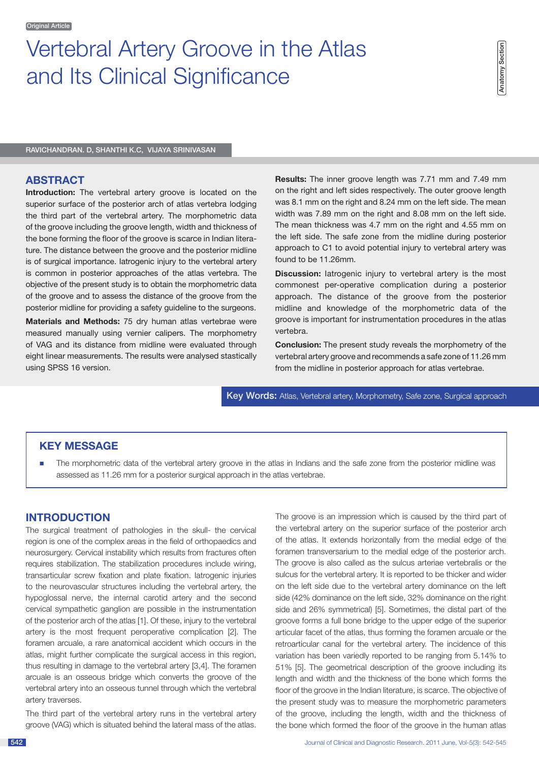# Vertebral Artery Groove in the Atlas and Its Clinical Significance

Ravichandran. D, Shanthi K.C, Vijaya Srinivasan

#### **ABSTRACT**

**Introduction:** The vertebral artery groove is located on the superior surface of the posterior arch of atlas vertebra lodging the third part of the vertebral artery. The morphometric data of the groove including the groove length, width and thickness of the bone forming the floor of the groove is scarce in Indian literature. The distance between the groove and the posterior midline is of surgical importance. Iatrogenic injury to the vertebral artery is common in posterior approaches of the atlas vertebra. The objective of the present study is to obtain the morphometric data of the groove and to assess the distance of the groove from the posterior midline for providing a safety guideline to the surgeons.

**Materials and Methods:** 75 dry human atlas vertebrae were measured manually using vernier calipers. The morphometry of VAG and its distance from midline were evaluated through eight linear measurements. The results were analysed stastically using SPSS 16 version.

**Results:** The inner groove length was 7.71 mm and 7.49 mm on the right and left sides respectively. The outer groove length was 8.1 mm on the right and 8.24 mm on the left side. The mean width was 7.89 mm on the right and 8.08 mm on the left side. The mean thickness was 4.7 mm on the right and 4.55 mm on the left side. The safe zone from the midline during posterior approach to C1 to avoid potential injury to vertebral artery was found to be 11.26mm.

**Discussion:** latrogenic injury to vertebral artery is the most commonest per-operative complication during a posterior approach. The distance of the groove from the posterior midline and knowledge of the morphometric data of the groove is important for instrumentation procedures in the atlas vertebra.

**Conclusion:** The present study reveals the morphometry of the vertebral artery groove and recommends a safe zone of 11.26 mm from the midline in posterior approach for atlas vertebrae.

Key Words: Atlas, Vertebral artery, Morphometry, Safe zone, Surgical approach

# **KEY MESSAGE**

n The morphometric data of the vertebral artery groove in the atlas in Indians and the safe zone from the posterior midline was assessed as 11.26 mm for a posterior surgical approach in the atlas vertebrae.

### **INTRODUCTION**

The surgical treatment of pathologies in the skull- the cervical region is one of the complex areas in the field of orthopaedics and neurosurgery. Cervical instability which results from fractures often requires stabilization. The stabilization procedures include wiring, transarticular screw fixation and plate fixation. Iatrogenic injuries to the neurovascular structures including the vertebral artery, the hypoglossal nerve, the internal carotid artery and the second cervical sympathetic ganglion are possible in the instrumentation of the posterior arch of the atlas [1]. Of these, injury to the vertebral artery is the most frequent peroperative complication [2]. The foramen arcuale, a rare anatomical accident which occurs in the atlas, might further complicate the surgical access in this region, thus resulting in damage to the vertebral artery [3,4]. The foramen arcuale is an osseous bridge which converts the groove of the vertebral artery into an osseous tunnel through which the vertebral artery traverses.

The third part of the vertebral artery runs in the vertebral artery groove (VAG) which is situated behind the lateral mass of the atlas. The groove is an impression which is caused by the third part of the vertebral artery on the superior surface of the posterior arch of the atlas. It extends horizontally from the medial edge of the foramen transversarium to the medial edge of the posterior arch. The groove is also called as the sulcus arteriae vertebralis or the sulcus for the vertebral artery. It is reported to be thicker and wider on the left side due to the vertebral artery dominance on the left side (42% dominance on the left side, 32% dominance on the right side and 26% symmetrical) [5]. Sometimes, the distal part of the groove forms a full bone bridge to the upper edge of the superior articular facet of the atlas, thus forming the foramen arcuale or the retroarticular canal for the vertebral artery. The incidence of this variation has been variedly reported to be ranging from 5.14% to 51% [5]. The geometrical description of the groove including its length and width and the thickness of the bone which forms the floor of the groove in the Indian literature, is scarce. The objective of the present study was to measure the morphometric parameters of the groove, including the length, width and the thickness of the bone which formed the floor of the groove in the human atlas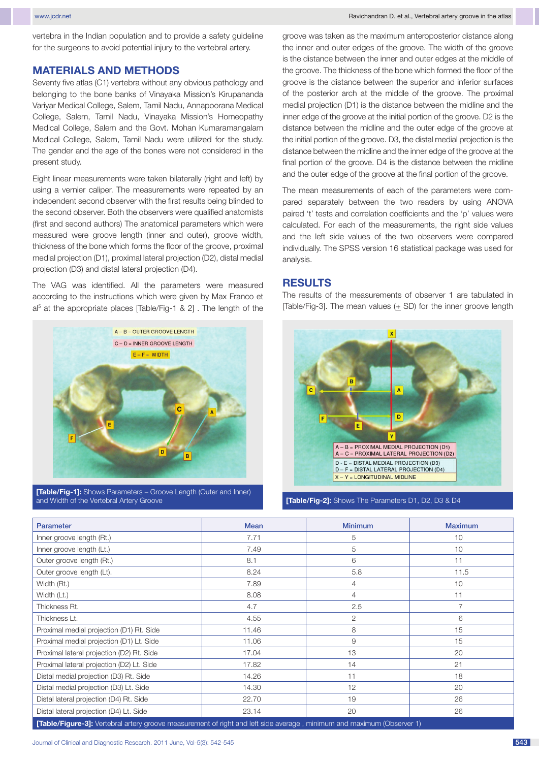www.jcdr.net Navigation Communication Communication Communication Communication Communication Communication Communication Communication Communication Communication Communication Communication Communication Communication Co

vertebra in the Indian population and to provide a safety guideline for the surgeons to avoid potential injury to the vertebral artery.

## **MATERIALS AND METHODS**

Seventy five atlas (C1) vertebra without any obvious pathology and belonging to the bone banks of Vinayaka Mission's Kirupananda Variyar Medical College, Salem, Tamil Nadu, Annapoorana Medical College, Salem, Tamil Nadu, Vinayaka Mission's Homeopathy Medical College, Salem and the Govt. Mohan Kumaramangalam Medical College, Salem, Tamil Nadu were utilized for the study. The gender and the age of the bones were not considered in the present study.

Eight linear measurements were taken bilaterally (right and left) by using a vernier caliper. The measurements were repeated by an independent second observer with the first results being blinded to the second observer. Both the observers were qualified anatomists (first and second authors) The anatomical parameters which were measured were groove length (inner and outer), groove width, thickness of the bone which forms the floor of the groove, proximal medial projection (D1), proximal lateral projection (D2), distal medial projection (D3) and distal lateral projection (D4).

The VAG was identified. All the parameters were measured according to the instructions which were given by Max Franco et al<sup>5</sup> at the appropriate places [Table/Fig-1 & 2]. The length of the



**[Table/Fig-1]:** Shows Parameters – Groove Length (Outer and Inner) and Width of the Vertebral Artery Groove **[Table/Fig-2]:** Shows The Parameters D1, D2, D3 & D4

groove was taken as the maximum anteroposterior distance along the inner and outer edges of the groove. The width of the groove is the distance between the inner and outer edges at the middle of the groove. The thickness of the bone which formed the floor of the groove is the distance between the superior and inferior surfaces of the posterior arch at the middle of the groove. The proximal medial projection (D1) is the distance between the midline and the inner edge of the groove at the initial portion of the groove. D2 is the distance between the midline and the outer edge of the groove at the initial portion of the groove. D3, the distal medial projection is the distance between the midline and the inner edge of the groove at the final portion of the groove. D4 is the distance between the midline and the outer edge of the groove at the final portion of the groove.

The mean measurements of each of the parameters were compared separately between the two readers by using ANOVA paired 't' tests and correlation coefficients and the 'p' values were calculated. For each of the measurements, the right side values and the left side values of the two observers were compared individually. The SPSS version 16 statistical package was used for analysis.

# **RESULTS**

The results of the measurements of observer 1 are tabulated in [Table/Fig-3]. The mean values (+ SD) for the inner groove length



| <b>Parameter</b>                                                                                                              | <b>Mean</b> | <b>Minimum</b> | <b>Maximum</b> |  |  |  |
|-------------------------------------------------------------------------------------------------------------------------------|-------------|----------------|----------------|--|--|--|
| Inner groove length (Rt.)                                                                                                     | 7.71        | 5              | 10             |  |  |  |
| Inner groove length (Lt.)                                                                                                     | 7.49        | 5              | 10             |  |  |  |
| Outer groove length (Rt.)                                                                                                     | 8.1         | 6              | 11             |  |  |  |
| Outer groove length (Lt).                                                                                                     | 8.24        | 5.8            | 11.5           |  |  |  |
| Width (Rt.)                                                                                                                   | 7.89        | 4              | 10             |  |  |  |
| Width (Lt.)                                                                                                                   | 8.08        | $\overline{4}$ | 11             |  |  |  |
| Thickness Rt.                                                                                                                 | 4.7         | 2.5            | $\overline{7}$ |  |  |  |
| Thickness Lt.                                                                                                                 | 4.55        | 2              | 6              |  |  |  |
| Proximal medial projection (D1) Rt. Side                                                                                      | 11.46       | 8              | 15             |  |  |  |
| Proximal medial projection (D1) Lt. Side                                                                                      | 11.06       | 9              | 15             |  |  |  |
| Proximal lateral projection (D2) Rt. Side                                                                                     | 17.04       | 13             | 20             |  |  |  |
| Proximal lateral projection (D2) Lt. Side                                                                                     | 17.82       | 14             | 21             |  |  |  |
| Distal medial projection (D3) Rt. Side                                                                                        | 14.26       | 11             | 18             |  |  |  |
| Distal medial projection (D3) Lt. Side                                                                                        | 14.30       | 12             | 20             |  |  |  |
| Distal lateral projection (D4) Rt. Side                                                                                       | 22.70       | 19             | 26             |  |  |  |
| Distal lateral projection (D4) Lt. Side                                                                                       | 23.14       | 20             | 26             |  |  |  |
| <b>[Table/Figure-3]:</b> Vertebral artery groove measurement of right and left side average, minimum and maximum (Observer 1) |             |                |                |  |  |  |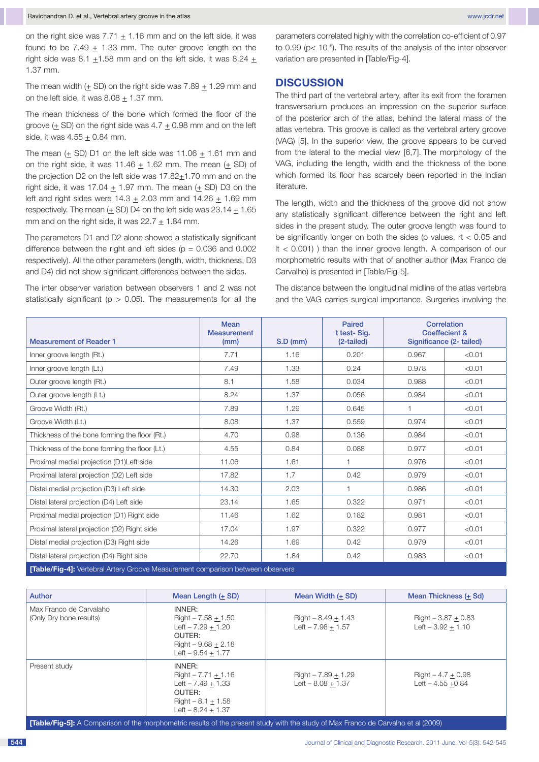on the right side was  $7.71 + 1.16$  mm and on the left side, it was found to be 7.49  $\pm$  1.33 mm. The outer groove length on the right side was 8.1  $\pm$ 1.58 mm and on the left side, it was 8.24  $\pm$ 1.37 mm.

The mean width  $(\pm$  SD) on the right side was 7.89  $\pm$  1.29 mm and on the left side, it was  $8.08 \pm 1.37$  mm.

The mean thickness of the bone which formed the floor of the groove  $(\pm$  SD) on the right side was 4.7  $\pm$  0.98 mm and on the left side, it was  $4.55 + 0.84$  mm.

The mean  $(\pm$  SD) D1 on the left side was 11.06  $\pm$  1.61 mm and on the right side, it was  $11.46 + 1.62$  mm. The mean  $(+$  SD) of the projection D2 on the left side was  $17.82+1.70$  mm and on the right side, it was 17.04  $\pm$  1.97 mm. The mean ( $\pm$  SD) D3 on the left and right sides were  $14.3 \pm 2.03$  mm and  $14.26 \pm 1.69$  mm respectively. The mean  $(\pm$  SD) D4 on the left side was 23.14  $\pm$  1.65 mm and on the right side, it was  $22.7 \pm 1.84$  mm.

The parameters D1 and D2 alone showed a statistically significant difference between the right and left sides ( $p = 0.036$  and 0.002 respectively). All the other parameters (length, width, thickness, D3 and D4) did not show significant differences between the sides.

The inter observer variation between observers 1 and 2 was not statistically significant ( $p > 0.05$ ). The measurements for all the parameters correlated highly with the correlation co-efficient of 0.97 to 0.99 (p< 10–5). The results of the analysis of the inter-observer variation are presented in [Table/Fig-4].

## **DISCUSSION**

The third part of the vertebral artery, after its exit from the foramen transversarium produces an impression on the superior surface of the posterior arch of the atlas, behind the lateral mass of the atlas vertebra. This groove is called as the vertebral artery groove (VAG) [5]. In the superior view, the groove appears to be curved from the lateral to the medial view [6,7]. The morphology of the VAG, including the length, width and the thickness of the bone which formed its floor has scarcely been reported in the Indian literature.

The length, width and the thickness of the groove did not show any statistically significant difference between the right and left sides in the present study. The outer groove length was found to be significantly longer on both the sides (p values,  $rt < 0.05$  and lt < 0.001) ) than the inner groove length. A comparison of our morphometric results with that of another author (Max Franco de Carvalho) is presented in [Table/Fig-5].

The distance between the longitudinal midline of the atlas vertebra and the VAG carries surgical importance. Surgeries involving the

| <b>Measurement of Reader 1</b>                                                  | <b>Mean</b><br><b>Measurement</b><br>(mm) | $S.D$ (mm) | Paired<br>t test-Sig.<br>(2-tailed) | Correlation<br><b>Coeffecient &amp;</b><br>Significance (2- tailed) |        |
|---------------------------------------------------------------------------------|-------------------------------------------|------------|-------------------------------------|---------------------------------------------------------------------|--------|
| Inner groove length (Rt.)                                                       | 7.71                                      | 1.16       | 0.201                               | 0.967                                                               | < 0.01 |
| Inner groove length (Lt.)                                                       | 7.49                                      | 1.33       | 0.24                                | 0.978                                                               | < 0.01 |
| Outer groove length (Rt.)                                                       | 8.1                                       | 1.58       | 0.034                               | 0.988                                                               | < 0.01 |
| Outer groove length (Lt.)                                                       | 8.24                                      | 1.37       | 0.056                               | 0.984                                                               | < 0.01 |
| Groove Width (Rt.)                                                              | 7.89                                      | 1.29       | 0.645                               | $\overline{1}$                                                      | < 0.01 |
| Groove Width (Lt.)                                                              | 8.08                                      | 1.37       | 0.559                               | 0.974                                                               | < 0.01 |
| Thickness of the bone forming the floor (Rt.)                                   | 4.70                                      | 0.98       | 0.136                               | 0.984                                                               | < 0.01 |
| Thickness of the bone forming the floor (Lt.)                                   | 4.55                                      | 0.84       | 0.088                               | 0.977                                                               | < 0.01 |
| Proximal medial projection (D1)Left side                                        | 11.06                                     | 1.61       | 1                                   | 0.976                                                               | < 0.01 |
| Proximal lateral projection (D2) Left side                                      | 17.82                                     | 1.7        | 0.42                                | 0.979                                                               | < 0.01 |
| Distal medial projection (D3) Left side                                         | 14.30                                     | 2.03       | 1                                   | 0.986                                                               | < 0.01 |
| Distal lateral projection (D4) Left side                                        | 23.14                                     | 1.65       | 0.322                               | 0.971                                                               | < 0.01 |
| Proximal medial projection (D1) Right side                                      | 11.46                                     | 1.62       | 0.182                               | 0.981                                                               | < 0.01 |
| Proximal lateral projection (D2) Right side                                     | 17.04                                     | 1.97       | 0.322                               | 0.977                                                               | < 0.01 |
| Distal medial projection (D3) Right side                                        | 14.26                                     | 1.69       | 0.42                                | 0.979                                                               | < 0.01 |
| Distal lateral projection (D4) Right side                                       | 22.70                                     | 1.84       | 0.42                                | 0.983                                                               | < 0.01 |
| [Table/Fig-4]: Vertebral Artery Groove Measurement comparison between observers |                                           |            |                                     |                                                                     |        |

| <b>Author</b>                                                                                                                                                                                                                 | Mean Length (+ SD)                                                                                                | Mean Width (+ SD)                             | Mean Thickness (+ Sd)                         |  |  |
|-------------------------------------------------------------------------------------------------------------------------------------------------------------------------------------------------------------------------------|-------------------------------------------------------------------------------------------------------------------|-----------------------------------------------|-----------------------------------------------|--|--|
| Max Franco de Carvalaho<br>(Only Dry bone results)                                                                                                                                                                            | INNER:<br>$Right - 7.58 + 1.50$<br>$Left - 7.29 + 1.20$<br>OUTFR:<br>$Right - 9.68 + 2.18$<br>Left $-9.54 + 1.77$ | $Right - 8.49 + 1.43$<br>$Left - 7.96 + 1.57$ | $Right - 3.87 + 0.83$<br>$Left - 3.92 + 1.10$ |  |  |
| Present study                                                                                                                                                                                                                 | INNER:<br>$Right - 7.71 + 1.16$<br>$Left - 7.49 + 1.33$<br>OUTER:<br>$Right - 8.1 + 1.58$<br>Left $-8.24 + 1.37$  | $Right - 7.89 + 1.29$<br>$Left - 8.08 + 1.37$ | $Right - 4.7 + 0.98$<br>Left $-4.55 +0.84$    |  |  |
| $\mathbf{F}_{\mathbf{A}}$ $\mathbf{F}_{\mathbf{B}}$ $\mathbf{F}_{\mathbf{B}}$ $\mathbf{F}_{\mathbf{B}}$ . A Comparison of the marphometric results of the present study with the study of May Expand de Complete at al (0000) |                                                                                                                   |                                               |                                               |  |  |

**[Table/Fig-5]:** A Comparison of the morphometric results of the present study with the study of Max Franco de Carvalho et al (2009)